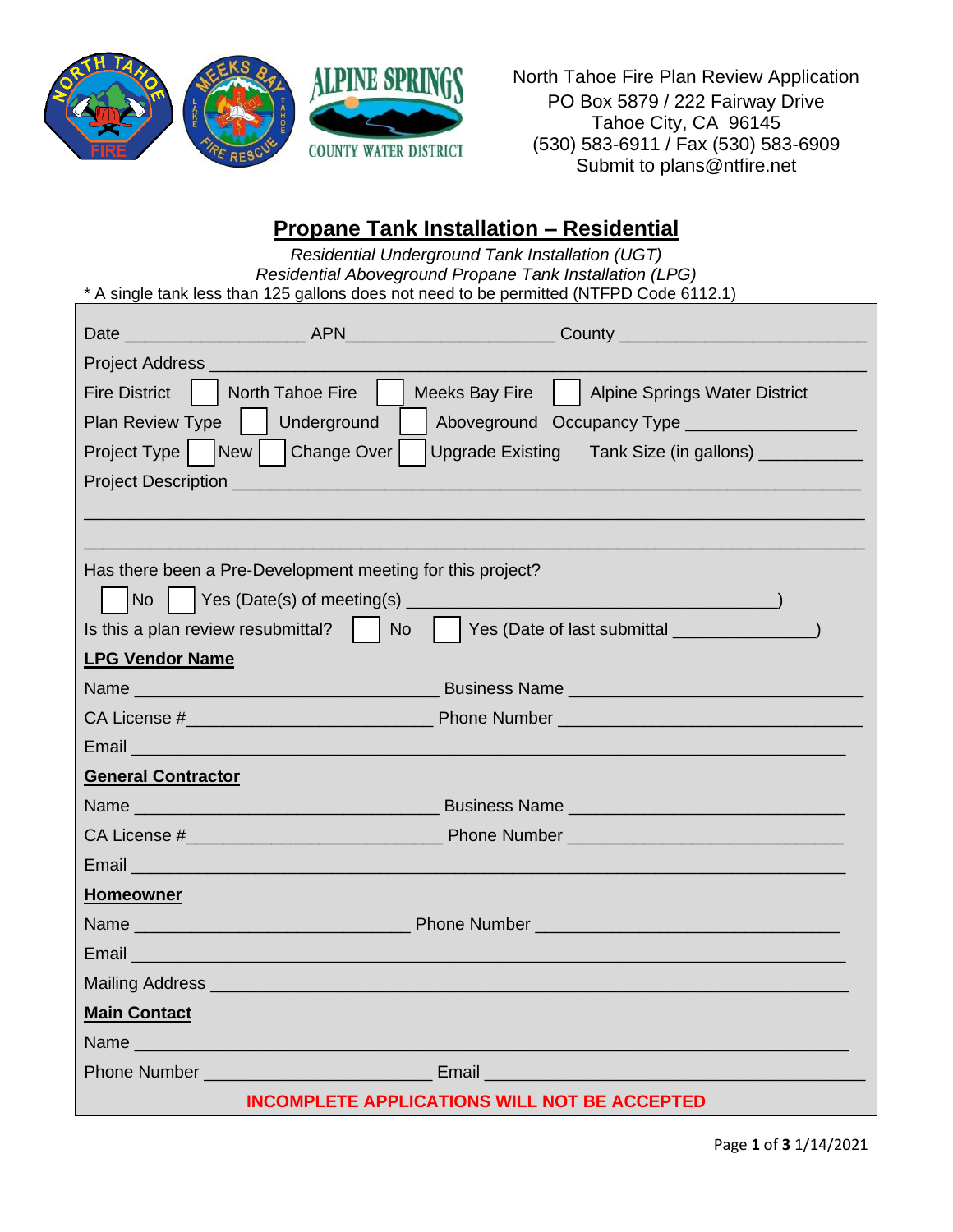

North Tahoe Fire Plan Review Application PO Box 5879 / 222 Fairway Drive Tahoe City, CA 96145 (530) 583-6911 / Fax (530) 583-6909 Submit to plans@ntfire.net

## **Propane Tank Installation – Residential**

| Residential Underground Tank Installation (UGT)<br>Residential Aboveground Propane Tank Installation (LPG)<br>* A single tank less than 125 gallons does not need to be permitted (NTFPD Code 6112.1)                                |  |  |  |  |  |  |
|--------------------------------------------------------------------------------------------------------------------------------------------------------------------------------------------------------------------------------------|--|--|--|--|--|--|
|                                                                                                                                                                                                                                      |  |  |  |  |  |  |
|                                                                                                                                                                                                                                      |  |  |  |  |  |  |
|                                                                                                                                                                                                                                      |  |  |  |  |  |  |
| Fire District     North Tahoe Fire     Meeks Bay Fire     Alpine Springs Water District                                                                                                                                              |  |  |  |  |  |  |
| Plan Review Type   Underground<br>Aboveground Occupancy Type ___________________                                                                                                                                                     |  |  |  |  |  |  |
| Project Type   New   Change Over   Upgrade Existing Tank Size (in gallons) ___________                                                                                                                                               |  |  |  |  |  |  |
|                                                                                                                                                                                                                                      |  |  |  |  |  |  |
|                                                                                                                                                                                                                                      |  |  |  |  |  |  |
|                                                                                                                                                                                                                                      |  |  |  |  |  |  |
| Has there been a Pre-Development meeting for this project?                                                                                                                                                                           |  |  |  |  |  |  |
|                                                                                                                                                                                                                                      |  |  |  |  |  |  |
|                                                                                                                                                                                                                                      |  |  |  |  |  |  |
| <b>LPG Vendor Name</b>                                                                                                                                                                                                               |  |  |  |  |  |  |
|                                                                                                                                                                                                                                      |  |  |  |  |  |  |
|                                                                                                                                                                                                                                      |  |  |  |  |  |  |
| Email <b>Experience and Contract Contract Contract Contract Contract Contract Contract Contract Contract Contract Contract Contract Contract Contract Contract Contract Contract Contract Contract Contract Contract Contract Co</b> |  |  |  |  |  |  |
| <b>General Contractor</b>                                                                                                                                                                                                            |  |  |  |  |  |  |
|                                                                                                                                                                                                                                      |  |  |  |  |  |  |
|                                                                                                                                                                                                                                      |  |  |  |  |  |  |
|                                                                                                                                                                                                                                      |  |  |  |  |  |  |
| <b>Homeowner</b>                                                                                                                                                                                                                     |  |  |  |  |  |  |
|                                                                                                                                                                                                                                      |  |  |  |  |  |  |
| Email                                                                                                                                                                                                                                |  |  |  |  |  |  |
|                                                                                                                                                                                                                                      |  |  |  |  |  |  |
| <b>Main Contact</b>                                                                                                                                                                                                                  |  |  |  |  |  |  |
|                                                                                                                                                                                                                                      |  |  |  |  |  |  |
|                                                                                                                                                                                                                                      |  |  |  |  |  |  |
| <b>INCOMPLETE APPLICATIONS WILL NOT BE ACCEPTED</b>                                                                                                                                                                                  |  |  |  |  |  |  |

Page **1** of **3** 1/14/2021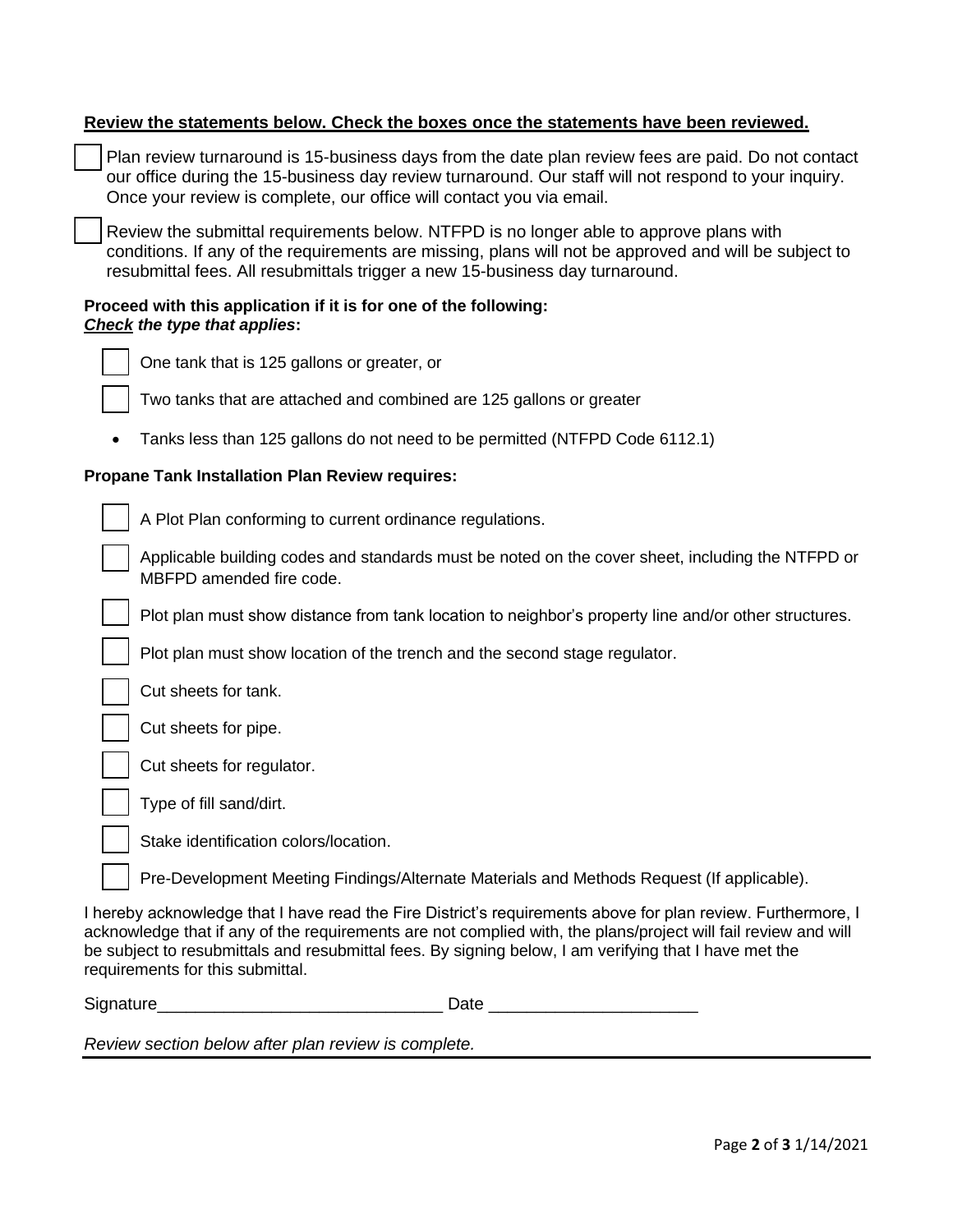| Review the statements below. Check the boxes once the statements have been reviewed.                                                                                                                                                                                                                                                                                        |  |  |  |  |  |
|-----------------------------------------------------------------------------------------------------------------------------------------------------------------------------------------------------------------------------------------------------------------------------------------------------------------------------------------------------------------------------|--|--|--|--|--|
| Plan review turnaround is 15-business days from the date plan review fees are paid. Do not contact<br>our office during the 15-business day review turnaround. Our staff will not respond to your inquiry.<br>Once your review is complete, our office will contact you via email.                                                                                          |  |  |  |  |  |
| Review the submittal requirements below. NTFPD is no longer able to approve plans with<br>conditions. If any of the requirements are missing, plans will not be approved and will be subject to<br>resubmittal fees. All resubmittals trigger a new 15-business day turnaround.                                                                                             |  |  |  |  |  |
| Proceed with this application if it is for one of the following:<br>Check the type that applies:                                                                                                                                                                                                                                                                            |  |  |  |  |  |
| One tank that is 125 gallons or greater, or                                                                                                                                                                                                                                                                                                                                 |  |  |  |  |  |
| Two tanks that are attached and combined are 125 gallons or greater                                                                                                                                                                                                                                                                                                         |  |  |  |  |  |
| Tanks less than 125 gallons do not need to be permitted (NTFPD Code 6112.1)                                                                                                                                                                                                                                                                                                 |  |  |  |  |  |
| <b>Propane Tank Installation Plan Review requires:</b>                                                                                                                                                                                                                                                                                                                      |  |  |  |  |  |
| A Plot Plan conforming to current ordinance regulations.                                                                                                                                                                                                                                                                                                                    |  |  |  |  |  |
| Applicable building codes and standards must be noted on the cover sheet, including the NTFPD or<br>MBFPD amended fire code.                                                                                                                                                                                                                                                |  |  |  |  |  |
| Plot plan must show distance from tank location to neighbor's property line and/or other structures.                                                                                                                                                                                                                                                                        |  |  |  |  |  |
| Plot plan must show location of the trench and the second stage regulator.                                                                                                                                                                                                                                                                                                  |  |  |  |  |  |
| Cut sheets for tank.                                                                                                                                                                                                                                                                                                                                                        |  |  |  |  |  |
| Cut sheets for pipe.                                                                                                                                                                                                                                                                                                                                                        |  |  |  |  |  |
| Cut sheets for regulator.                                                                                                                                                                                                                                                                                                                                                   |  |  |  |  |  |
| Type of fill sand/dirt.                                                                                                                                                                                                                                                                                                                                                     |  |  |  |  |  |
| Stake identification colors/location.                                                                                                                                                                                                                                                                                                                                       |  |  |  |  |  |
| Pre-Development Meeting Findings/Alternate Materials and Methods Request (If applicable).                                                                                                                                                                                                                                                                                   |  |  |  |  |  |
| I hereby acknowledge that I have read the Fire District's requirements above for plan review. Furthermore, I<br>acknowledge that if any of the requirements are not complied with, the plans/project will fail review and will<br>be subject to resubmittals and resubmittal fees. By signing below, I am verifying that I have met the<br>requirements for this submittal. |  |  |  |  |  |

Signature\_\_\_\_\_\_\_\_\_\_\_\_\_\_\_\_\_\_\_\_\_\_\_\_\_\_\_\_\_\_ Date \_\_\_\_\_\_\_\_\_\_\_\_\_\_\_\_\_\_\_\_\_\_

*Review section below after plan review is complete.*